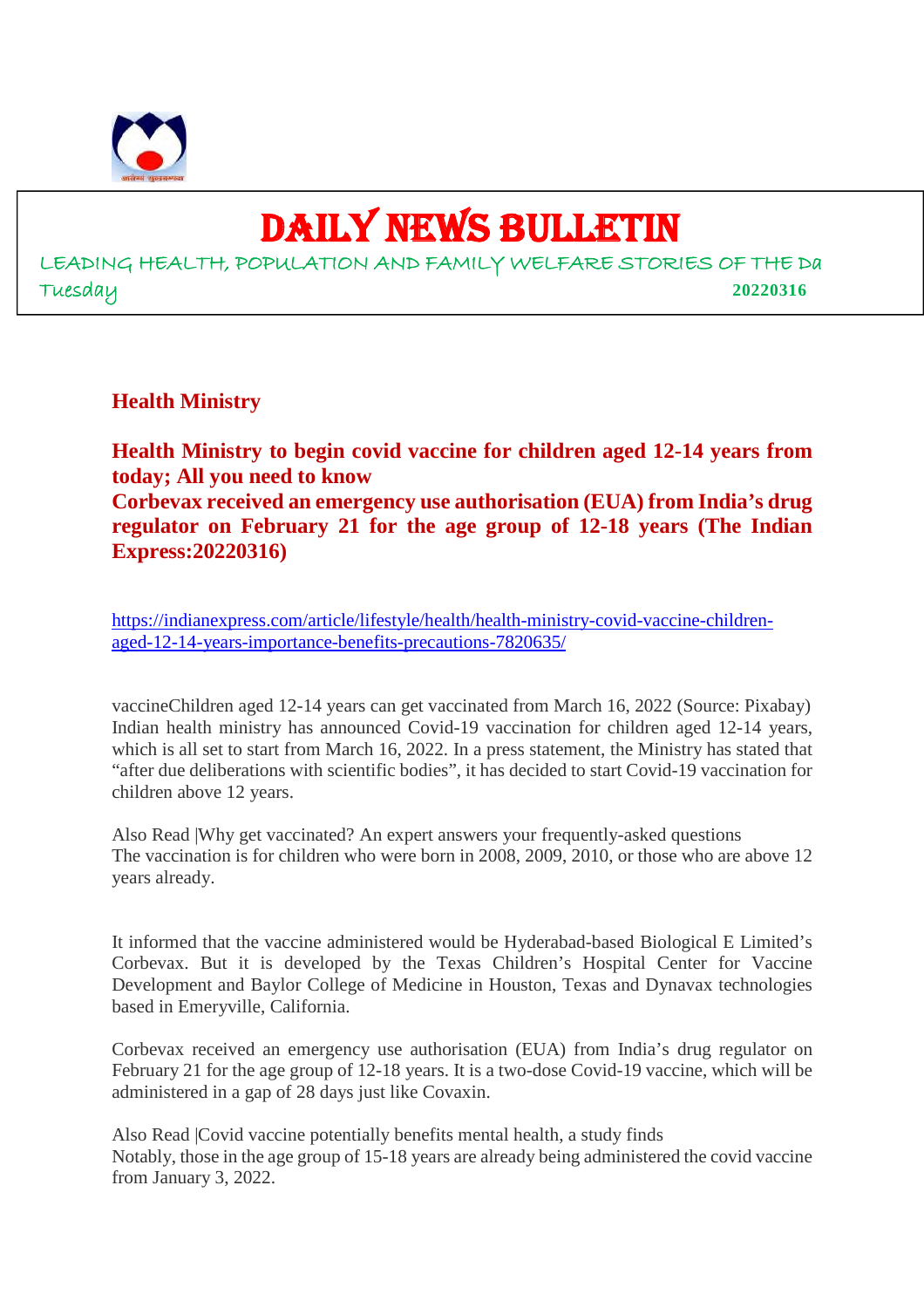

# DAILY NEWS BULLETIN

LEADING HEALTH, POPULATION AND FAMILY WELFARE STORIES OF THE Da Tuesday **20220316**

**Health Ministry**

**Health Ministry to begin covid vaccine for children aged 12-14 years from today; All you need to know Corbevax received an emergency use authorisation (EUA) from India's drug regulator on February 21 for the age group of 12-18 years (The Indian Express:20220316)**

https://indianexpress.com/article/lifestyle/health/health-ministry-covid-vaccine-childrenaged-12-14-years-importance-benefits-precautions-7820635/

vaccineChildren aged 12-14 years can get vaccinated from March 16, 2022 (Source: Pixabay) Indian health ministry has announced Covid-19 vaccination for children aged 12-14 years, which is all set to start from March 16, 2022. In a press statement, the Ministry has stated that "after due deliberations with scientific bodies", it has decided to start Covid-19 vaccination for children above 12 years.

Also Read |Why get vaccinated? An expert answers your frequently-asked questions The vaccination is for children who were born in 2008, 2009, 2010, or those who are above 12 years already.

It informed that the vaccine administered would be Hyderabad-based Biological E Limited's Corbevax. But it is developed by the Texas Children's Hospital Center for Vaccine Development and Baylor College of Medicine in Houston, Texas and Dynavax technologies based in Emeryville, California.

Corbevax received an emergency use authorisation (EUA) from India's drug regulator on February 21 for the age group of 12-18 years. It is a two-dose Covid-19 vaccine, which will be administered in a gap of 28 days just like Covaxin.

Also Read |Covid vaccine potentially benefits mental health, a study finds Notably, those in the age group of 15-18 years are already being administered the covid vaccine from January 3, 2022.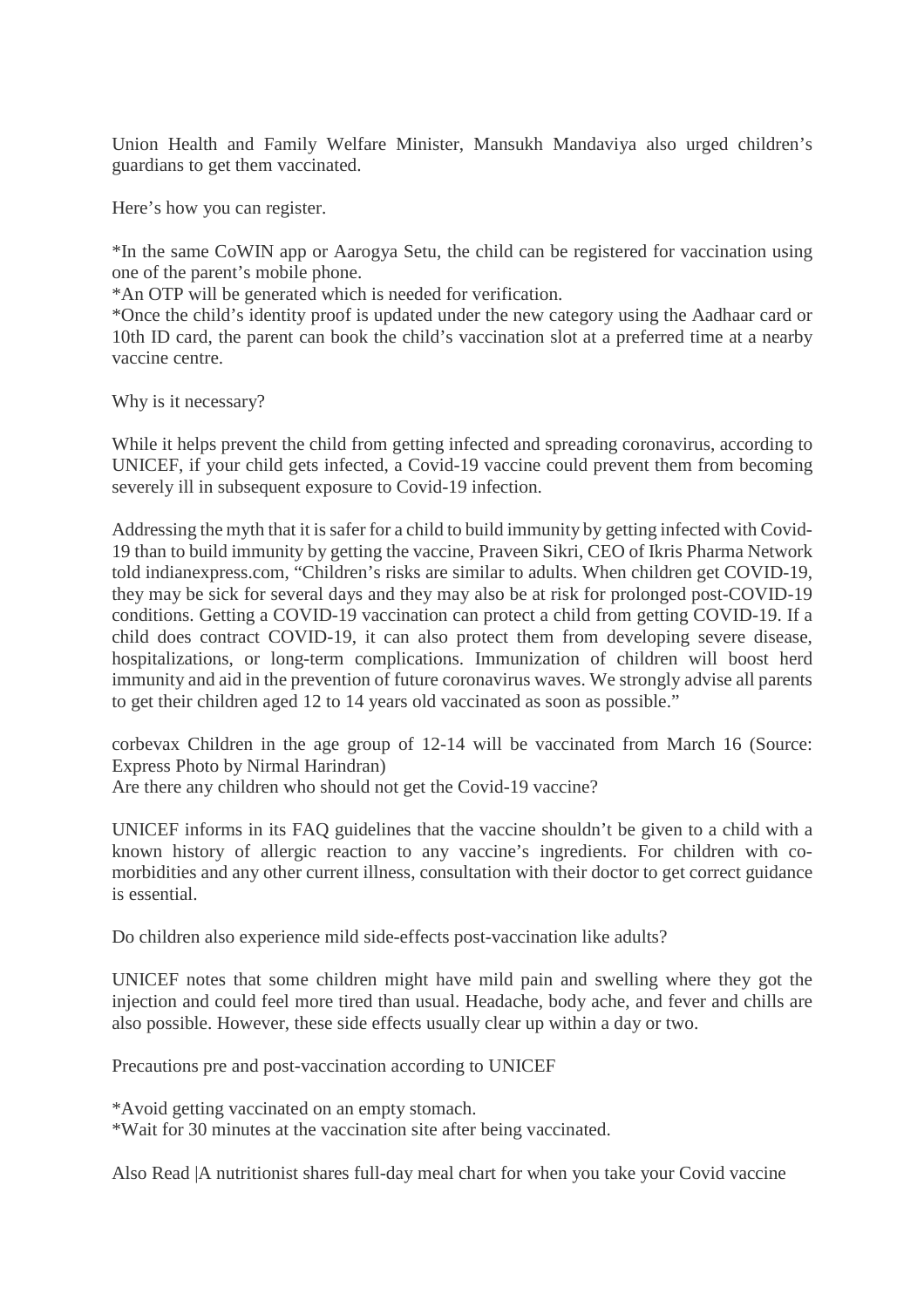Union Health and Family Welfare Minister, Mansukh Mandaviya also urged children's guardians to get them vaccinated.

Here's how you can register.

\*In the same CoWIN app or Aarogya Setu, the child can be registered for vaccination using one of the parent's mobile phone.

\*An OTP will be generated which is needed for verification.

\*Once the child's identity proof is updated under the new category using the Aadhaar card or 10th ID card, the parent can book the child's vaccination slot at a preferred time at a nearby vaccine centre.

Why is it necessary?

While it helps prevent the child from getting infected and spreading coronavirus, according to UNICEF, if your child gets infected, a Covid-19 vaccine could prevent them from becoming severely ill in subsequent exposure to Covid-19 infection.

Addressing the myth that it is safer for a child to build immunity by getting infected with Covid-19 than to build immunity by getting the vaccine, Praveen Sikri, CEO of Ikris Pharma Network told indianexpress.com, "Children's risks are similar to adults. When children get COVID-19, they may be sick for several days and they may also be at risk for prolonged post-COVID-19 conditions. Getting a COVID-19 vaccination can protect a child from getting COVID-19. If a child does contract COVID-19, it can also protect them from developing severe disease, hospitalizations, or long-term complications. Immunization of children will boost herd immunity and aid in the prevention of future coronavirus waves. We strongly advise all parents to get their children aged 12 to 14 years old vaccinated as soon as possible."

corbevax Children in the age group of 12-14 will be vaccinated from March 16 (Source: Express Photo by Nirmal Harindran)

Are there any children who should not get the Covid-19 vaccine?

UNICEF informs in its FAQ guidelines that the vaccine shouldn't be given to a child with a known history of allergic reaction to any vaccine's ingredients. For children with comorbidities and any other current illness, consultation with their doctor to get correct guidance is essential.

Do children also experience mild side-effects post-vaccination like adults?

UNICEF notes that some children might have mild pain and swelling where they got the injection and could feel more tired than usual. Headache, body ache, and fever and chills are also possible. However, these side effects usually clear up within a day or two.

Precautions pre and post-vaccination according to UNICEF

\*Avoid getting vaccinated on an empty stomach.

\*Wait for 30 minutes at the vaccination site after being vaccinated.

Also Read |A nutritionist shares full-day meal chart for when you take your Covid vaccine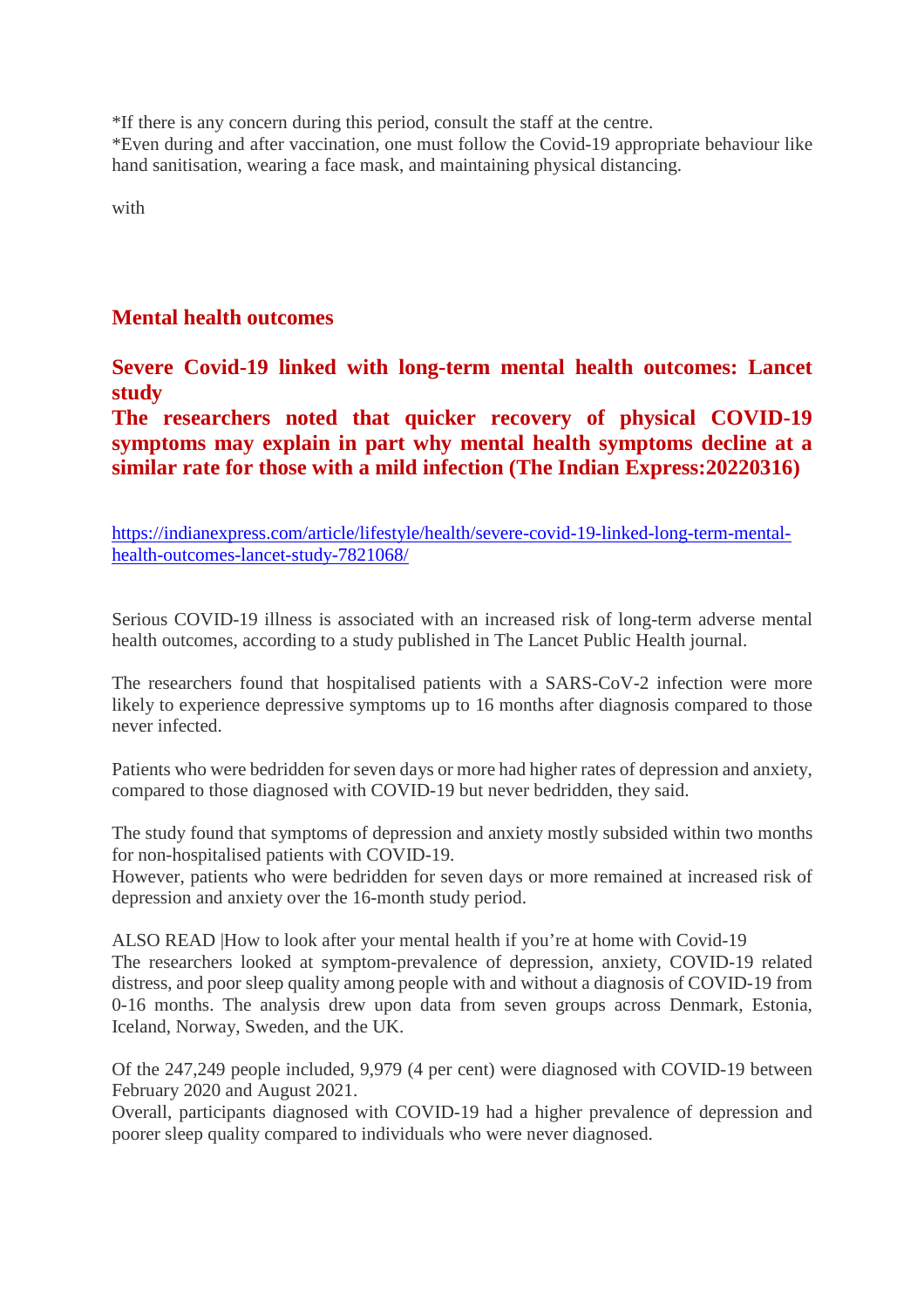\*If there is any concern during this period, consult the staff at the centre.

\*Even during and after vaccination, one must follow the Covid-19 appropriate behaviour like hand sanitisation, wearing a face mask, and maintaining physical distancing.

with

## **Mental health outcomes**

**Severe Covid-19 linked with long-term mental health outcomes: Lancet study**

**The researchers noted that quicker recovery of physical COVID-19 symptoms may explain in part why mental health symptoms decline at a similar rate for those with a mild infection (The Indian Express:20220316)**

https://indianexpress.com/article/lifestyle/health/severe-covid-19-linked-long-term-mentalhealth-outcomes-lancet-study-7821068/

Serious COVID-19 illness is associated with an increased risk of long-term adverse mental health outcomes, according to a study published in The Lancet Public Health journal.

The researchers found that hospitalised patients with a SARS-CoV-2 infection were more likely to experience depressive symptoms up to 16 months after diagnosis compared to those never infected.

Patients who were bedridden for seven days or more had higher rates of depression and anxiety, compared to those diagnosed with COVID-19 but never bedridden, they said.

The study found that symptoms of depression and anxiety mostly subsided within two months for non-hospitalised patients with COVID-19.

However, patients who were bedridden for seven days or more remained at increased risk of depression and anxiety over the 16-month study period.

ALSO READ |How to look after your mental health if you're at home with Covid-19 The researchers looked at symptom-prevalence of depression, anxiety, COVID-19 related distress, and poor sleep quality among people with and without a diagnosis of COVID-19 from 0-16 months. The analysis drew upon data from seven groups across Denmark, Estonia, Iceland, Norway, Sweden, and the UK.

Of the 247,249 people included, 9,979 (4 per cent) were diagnosed with COVID-19 between February 2020 and August 2021.

Overall, participants diagnosed with COVID-19 had a higher prevalence of depression and poorer sleep quality compared to individuals who were never diagnosed.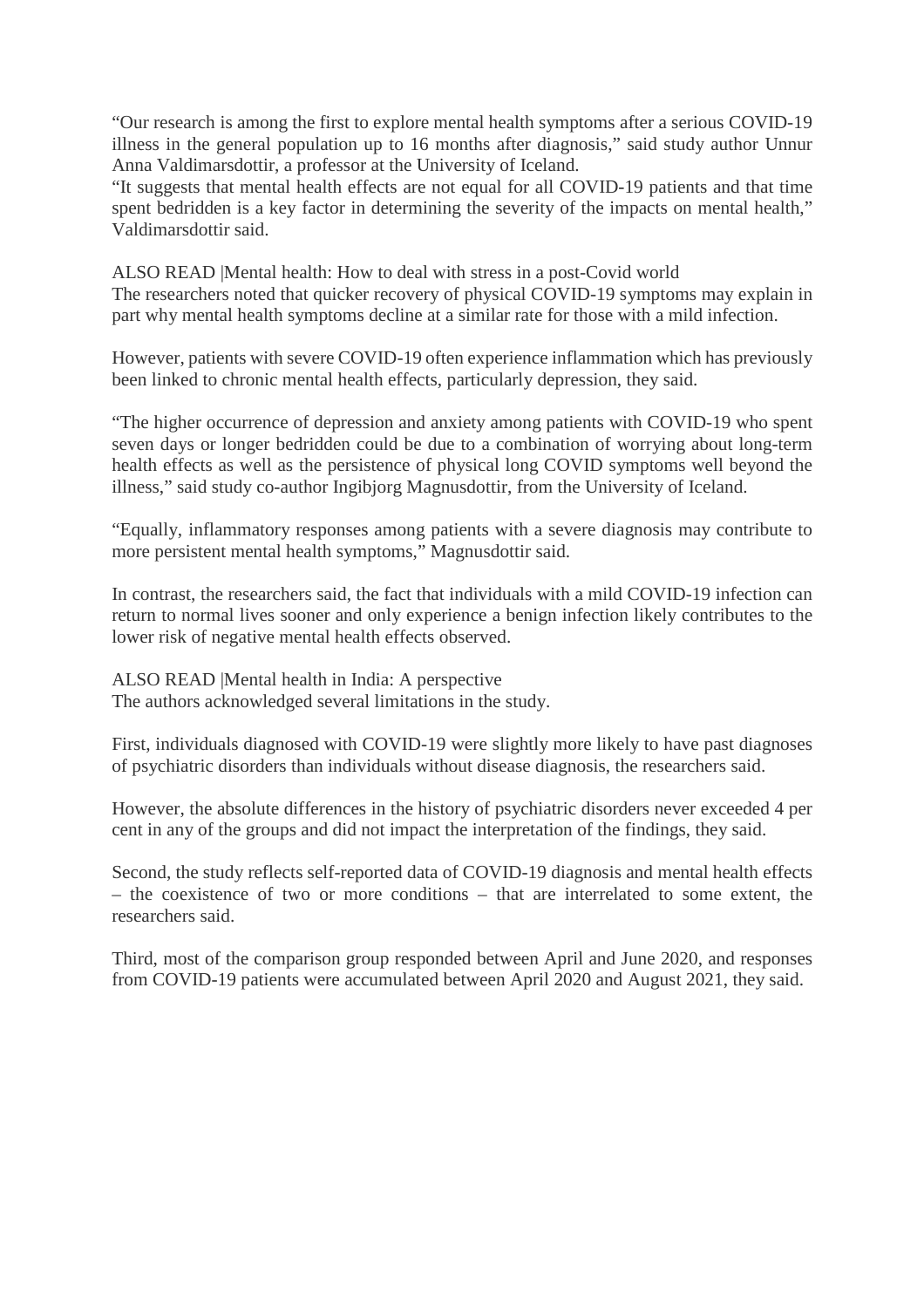"Our research is among the first to explore mental health symptoms after a serious COVID-19 illness in the general population up to 16 months after diagnosis," said study author Unnur Anna Valdimarsdottir, a professor at the University of Iceland.

"It suggests that mental health effects are not equal for all COVID-19 patients and that time spent bedridden is a key factor in determining the severity of the impacts on mental health," Valdimarsdottir said.

ALSO READ |Mental health: How to deal with stress in a post-Covid world The researchers noted that quicker recovery of physical COVID-19 symptoms may explain in part why mental health symptoms decline at a similar rate for those with a mild infection.

However, patients with severe COVID-19 often experience inflammation which has previously been linked to chronic mental health effects, particularly depression, they said.

"The higher occurrence of depression and anxiety among patients with COVID-19 who spent seven days or longer bedridden could be due to a combination of worrying about long-term health effects as well as the persistence of physical long COVID symptoms well beyond the illness," said study co-author Ingibjorg Magnusdottir, from the University of Iceland.

"Equally, inflammatory responses among patients with a severe diagnosis may contribute to more persistent mental health symptoms," Magnusdottir said.

In contrast, the researchers said, the fact that individuals with a mild COVID-19 infection can return to normal lives sooner and only experience a benign infection likely contributes to the lower risk of negative mental health effects observed.

ALSO READ |Mental health in India: A perspective The authors acknowledged several limitations in the study.

First, individuals diagnosed with COVID-19 were slightly more likely to have past diagnoses of psychiatric disorders than individuals without disease diagnosis, the researchers said.

However, the absolute differences in the history of psychiatric disorders never exceeded 4 per cent in any of the groups and did not impact the interpretation of the findings, they said.

Second, the study reflects self-reported data of COVID-19 diagnosis and mental health effects  $-$  the coexistence of two or more conditions  $-$  that are interrelated to some extent, the researchers said.

Third, most of the comparison group responded between April and June 2020, and responses from COVID-19 patients were accumulated between April 2020 and August 2021, they said.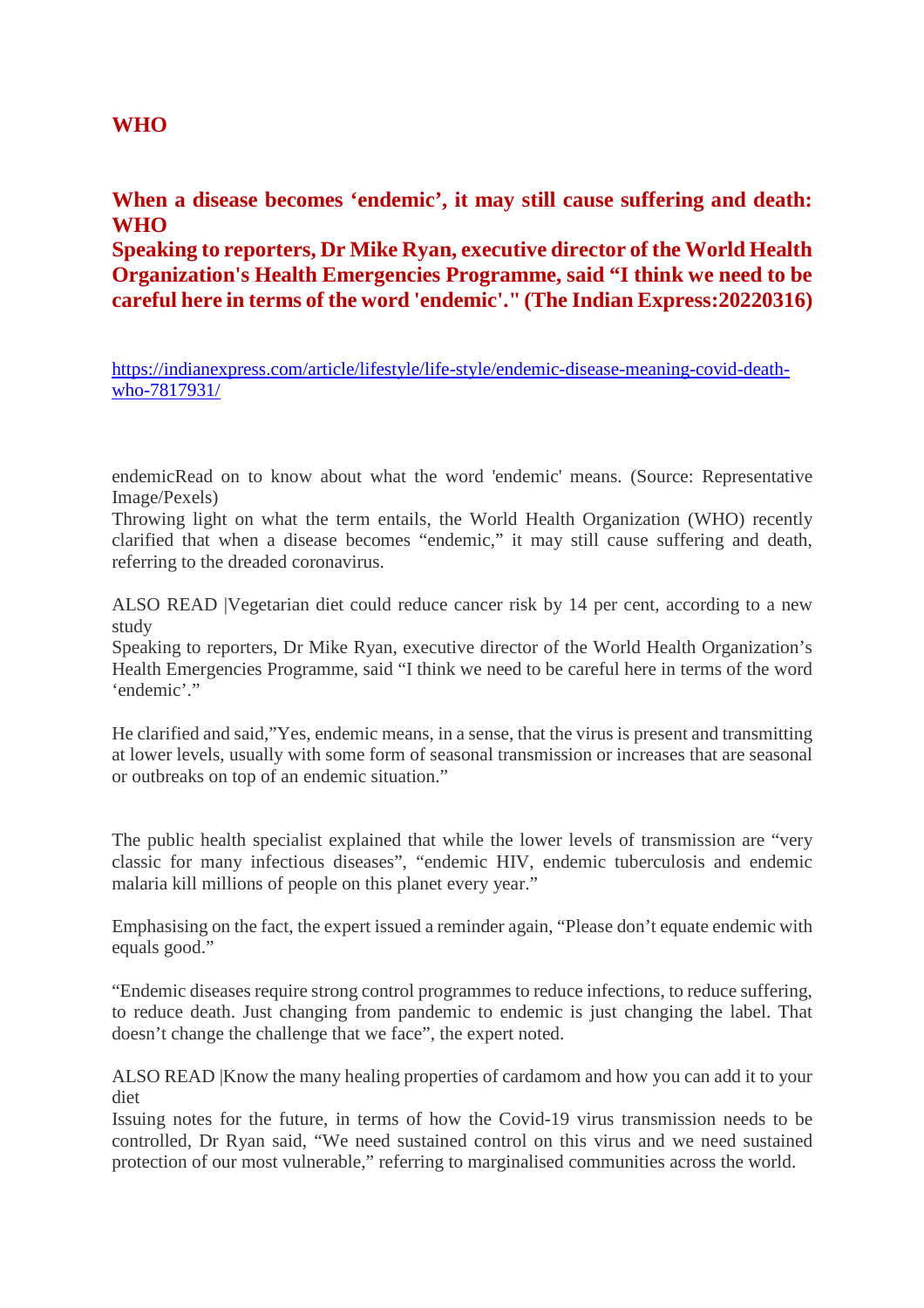#### **WHO**

#### **When a disease becomes 'endemic', it may still cause suffering and death: WHO**

**Speaking to reporters, Dr Mike Ryan, executive director of the World Health Organization's Health Emergencies Programme, said "I think we need to be careful here in terms of the word 'endemic'." (The Indian Express:20220316)**

https://indianexpress.com/article/lifestyle/life-style/endemic-disease-meaning-covid-deathwho-7817931/

endemicRead on to know about what the word 'endemic' means. (Source: Representative Image/Pexels)

Throwing light on what the term entails, the World Health Organization (WHO) recently clarified that when a disease becomes "endemic," it may still cause suffering and death, referring to the dreaded coronavirus.

ALSO READ |Vegetarian diet could reduce cancer risk by 14 per cent, according to a new study

Speaking to reporters, Dr Mike Ryan, executive director of the World Health Organization's Health Emergencies Programme, said "I think we need to be careful here in terms of the word 'endemic'."

He clarified and said,"Yes, endemic means, in a sense, that the virus is present and transmitting at lower levels, usually with some form of seasonal transmission or increases that are seasonal or outbreaks on top of an endemic situation."

The public health specialist explained that while the lower levels of transmission are "very classic for many infectious diseases", "endemic HIV, endemic tuberculosis and endemic malaria kill millions of people on this planet every year."

Emphasising on the fact, the expert issued a reminder again, "Please don't equate endemic with equals good."

"Endemic diseases require strong control programmes to reduce infections, to reduce suffering, to reduce death. Just changing from pandemic to endemic is just changing the label. That doesn't change the challenge that we face", the expert noted.

ALSO READ |Know the many healing properties of cardamom and how you can add it to your diet

Issuing notes for the future, in terms of how the Covid-19 virus transmission needs to be controlled, Dr Ryan said, "We need sustained control on this virus and we need sustained protection of our most vulnerable," referring to marginalised communities across the world.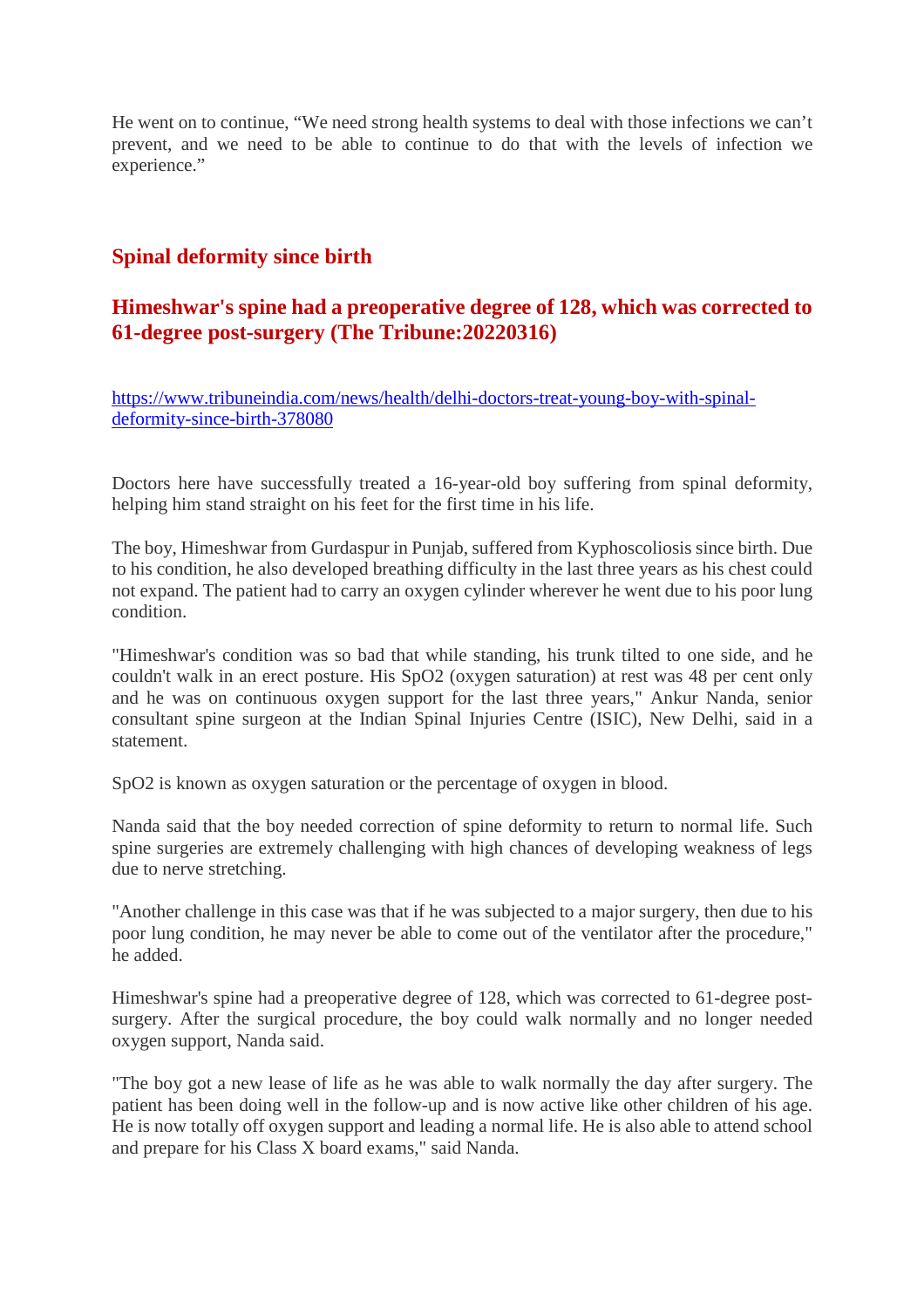He went on to continue, "We need strong health systems to deal with those infections we can't prevent, and we need to be able to continue to do that with the levels of infection we experience."

## **Spinal deformity since birth**

#### **Himeshwar's spine had a preoperative degree of 128, which was corrected to 61-degree post-surgery (The Tribune:20220316)**

https://www.tribuneindia.com/news/health/delhi-doctors-treat-young-boy-with-spinaldeformity-since-birth-378080

Doctors here have successfully treated a 16-year-old boy suffering from spinal deformity, helping him stand straight on his feet for the first time in his life.

The boy, Himeshwar from Gurdaspur in Punjab, suffered from Kyphoscoliosis since birth. Due to his condition, he also developed breathing difficulty in the last three years as his chest could not expand. The patient had to carry an oxygen cylinder wherever he went due to his poor lung condition.

"Himeshwar's condition was so bad that while standing, his trunk tilted to one side, and he couldn't walk in an erect posture. His SpO2 (oxygen saturation) at rest was 48 per cent only and he was on continuous oxygen support for the last three years," Ankur Nanda, senior consultant spine surgeon at the Indian Spinal Injuries Centre (ISIC), New Delhi, said in a statement.

SpO2 is known as oxygen saturation or the percentage of oxygen in blood.

Nanda said that the boy needed correction of spine deformity to return to normal life. Such spine surgeries are extremely challenging with high chances of developing weakness of legs due to nerve stretching.

"Another challenge in this case was that if he was subjected to a major surgery, then due to his poor lung condition, he may never be able to come out of the ventilator after the procedure," he added.

Himeshwar's spine had a preoperative degree of 128, which was corrected to 61-degree postsurgery. After the surgical procedure, the boy could walk normally and no longer needed oxygen support, Nanda said.

"The boy got a new lease of life as he was able to walk normally the day after surgery. The patient has been doing well in the follow-up and is now active like other children of his age. He is now totally off oxygen support and leading a normal life. He is also able to attend school and prepare for his Class X board exams," said Nanda.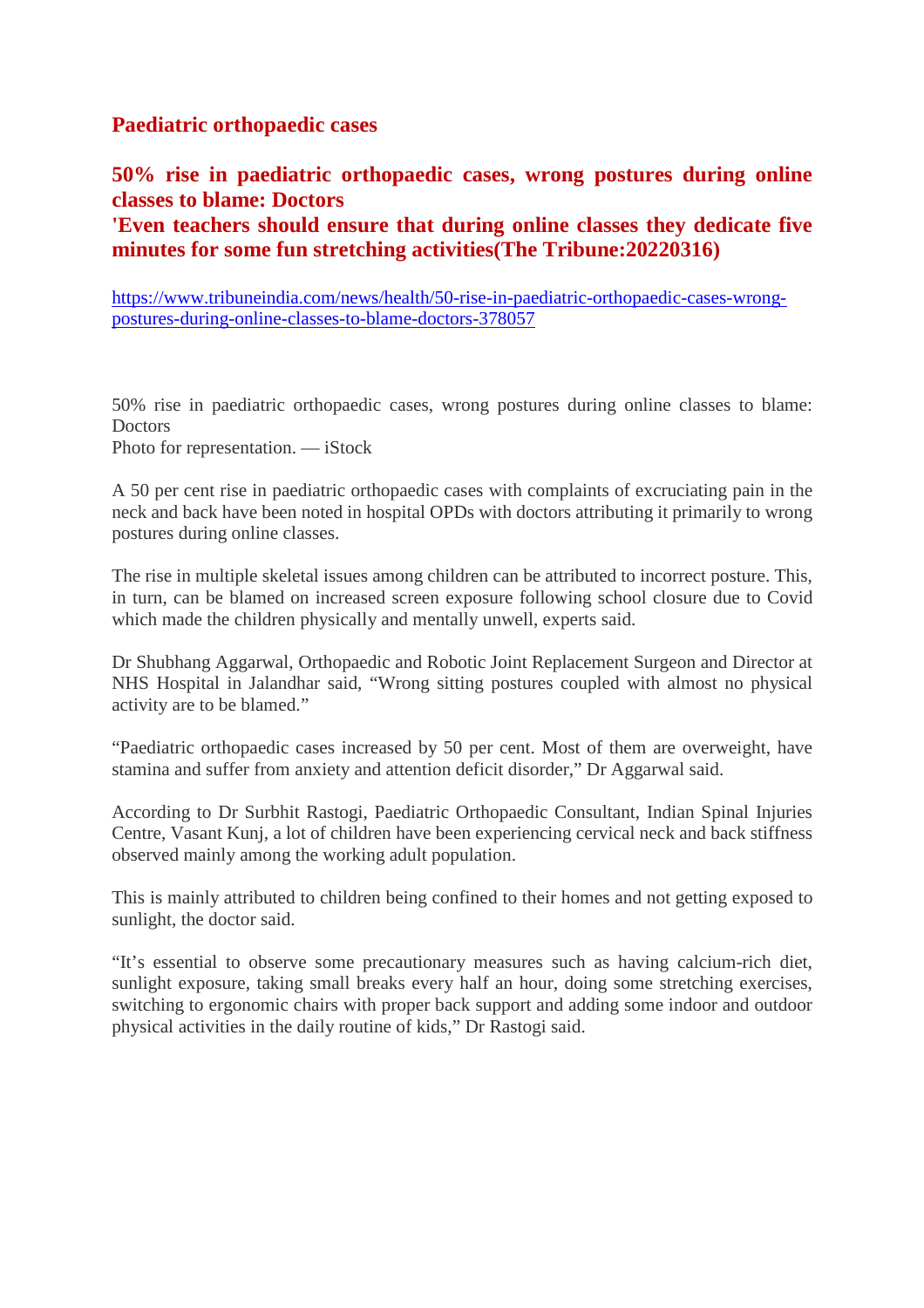#### **Paediatric orthopaedic cases**

**50% rise in paediatric orthopaedic cases, wrong postures during online classes to blame: Doctors**

**'Even teachers should ensure that during online classes they dedicate five minutes for some fun stretching activities(The Tribune:20220316)**

https://www.tribuneindia.com/news/health/50-rise-in-paediatric-orthopaedic-cases-wrongpostures-during-online-classes-to-blame-doctors-378057

50% rise in paediatric orthopaedic cases, wrong postures during online classes to blame: **Doctors** 

Photo for representation. — iStock

A 50 per cent rise in paediatric orthopaedic cases with complaints of excruciating pain in the neck and back have been noted in hospital OPDs with doctors attributing it primarily to wrong postures during online classes.

The rise in multiple skeletal issues among children can be attributed to incorrect posture. This, in turn, can be blamed on increased screen exposure following school closure due to Covid which made the children physically and mentally unwell, experts said.

Dr Shubhang Aggarwal, Orthopaedic and Robotic Joint Replacement Surgeon and Director at NHS Hospital in Jalandhar said, "Wrong sitting postures coupled with almost no physical activity are to be blamed."

"Paediatric orthopaedic cases increased by 50 per cent. Most of them are overweight, have stamina and suffer from anxiety and attention deficit disorder," Dr Aggarwal said.

According to Dr Surbhit Rastogi, Paediatric Orthopaedic Consultant, Indian Spinal Injuries Centre, Vasant Kunj, a lot of children have been experiencing cervical neck and back stiffness observed mainly among the working adult population.

This is mainly attributed to children being confined to their homes and not getting exposed to sunlight, the doctor said.

"It's essential to observe some precautionary measures such as having calcium-rich diet, sunlight exposure, taking small breaks every half an hour, doing some stretching exercises, switching to ergonomic chairs with proper back support and adding some indoor and outdoor physical activities in the daily routine of kids," Dr Rastogi said.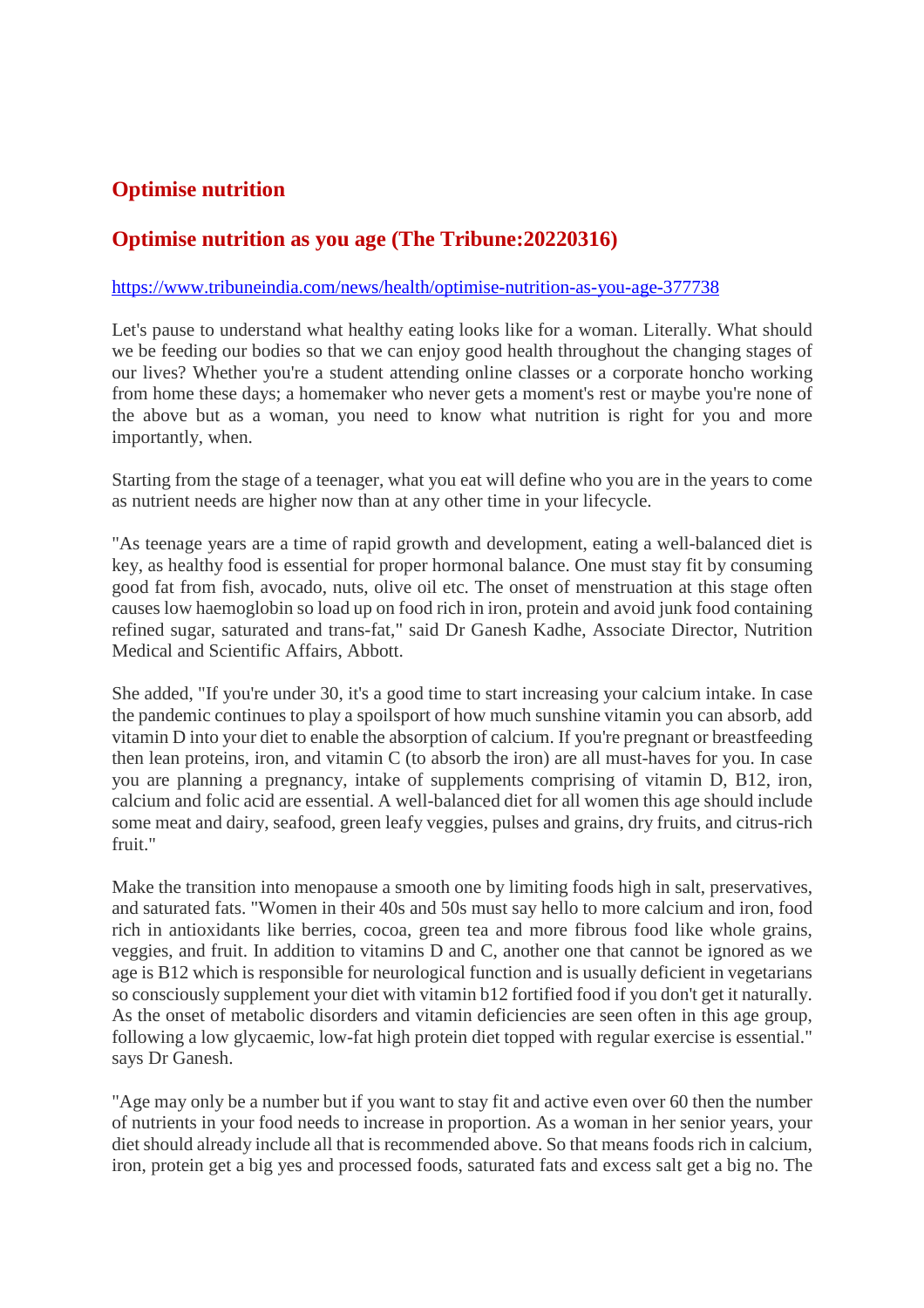# **Optimise nutrition**

## **Optimise nutrition as you age (The Tribune:20220316)**

#### https://www.tribuneindia.com/news/health/optimise-nutrition-as-you-age-377738

Let's pause to understand what healthy eating looks like for a woman. Literally. What should we be feeding our bodies so that we can enjoy good health throughout the changing stages of our lives? Whether you're a student attending online classes or a corporate honcho working from home these days; a homemaker who never gets a moment's rest or maybe you're none of the above but as a woman, you need to know what nutrition is right for you and more importantly, when.

Starting from the stage of a teenager, what you eat will define who you are in the years to come as nutrient needs are higher now than at any other time in your lifecycle.

"As teenage years are a time of rapid growth and development, eating a well-balanced diet is key, as healthy food is essential for proper hormonal balance. One must stay fit by consuming good fat from fish, avocado, nuts, olive oil etc. The onset of menstruation at this stage often causes low haemoglobin so load up on food rich in iron, protein and avoid junk food containing refined sugar, saturated and trans-fat," said Dr Ganesh Kadhe, Associate Director, Nutrition Medical and Scientific Affairs, Abbott.

She added, "If you're under 30, it's a good time to start increasing your calcium intake. In case the pandemic continues to play a spoilsport of how much sunshine vitamin you can absorb, add vitamin D into your diet to enable the absorption of calcium. If you're pregnant or breastfeeding then lean proteins, iron, and vitamin C (to absorb the iron) are all must-haves for you. In case you are planning a pregnancy, intake of supplements comprising of vitamin D, B12, iron, calcium and folic acid are essential. A well-balanced diet for all women this age should include some meat and dairy, seafood, green leafy veggies, pulses and grains, dry fruits, and citrus-rich fruit."

Make the transition into menopause a smooth one by limiting foods high in salt, preservatives, and saturated fats. "Women in their 40s and 50s must say hello to more calcium and iron, food rich in antioxidants like berries, cocoa, green tea and more fibrous food like whole grains, veggies, and fruit. In addition to vitamins D and C, another one that cannot be ignored as we age is B12 which is responsible for neurological function and is usually deficient in vegetarians so consciously supplement your diet with vitamin b12 fortified food if you don't get it naturally. As the onset of metabolic disorders and vitamin deficiencies are seen often in this age group, following a low glycaemic, low-fat high protein diet topped with regular exercise is essential." says Dr Ganesh.

"Age may only be a number but if you want to stay fit and active even over 60 then the number of nutrients in your food needs to increase in proportion. As a woman in her senior years, your diet should already include all that is recommended above. So that means foods rich in calcium, iron, protein get a big yes and processed foods, saturated fats and excess salt get a big no. The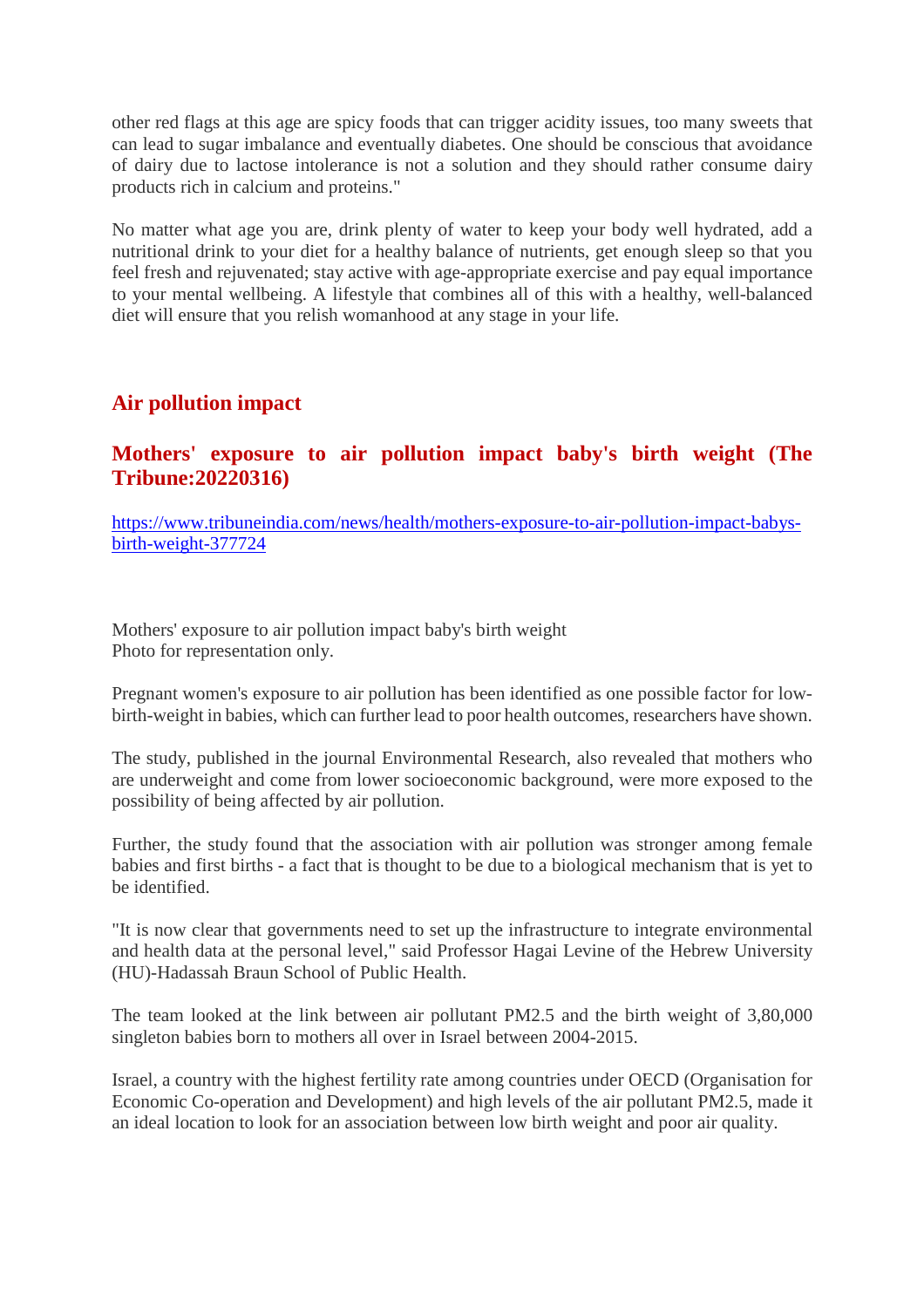other red flags at this age are spicy foods that can trigger acidity issues, too many sweets that can lead to sugar imbalance and eventually diabetes. One should be conscious that avoidance of dairy due to lactose intolerance is not a solution and they should rather consume dairy products rich in calcium and proteins."

No matter what age you are, drink plenty of water to keep your body well hydrated, add a nutritional drink to your diet for a healthy balance of nutrients, get enough sleep so that you feel fresh and rejuvenated; stay active with age-appropriate exercise and pay equal importance to your mental wellbeing. A lifestyle that combines all of this with a healthy, well-balanced diet will ensure that you relish womanhood at any stage in your life.

#### **Air pollution impact**

## **Mothers' exposure to air pollution impact baby's birth weight (The Tribune:20220316)**

https://www.tribuneindia.com/news/health/mothers-exposure-to-air-pollution-impact-babysbirth-weight-377724

Mothers' exposure to air pollution impact baby's birth weight Photo for representation only.

Pregnant women's exposure to air pollution has been identified as one possible factor for lowbirth-weight in babies, which can further lead to poor health outcomes, researchers have shown.

The study, published in the journal Environmental Research, also revealed that mothers who are underweight and come from lower socioeconomic background, were more exposed to the possibility of being affected by air pollution.

Further, the study found that the association with air pollution was stronger among female babies and first births - a fact that is thought to be due to a biological mechanism that is yet to be identified.

"It is now clear that governments need to set up the infrastructure to integrate environmental and health data at the personal level," said Professor Hagai Levine of the Hebrew University (HU)-Hadassah Braun School of Public Health.

The team looked at the link between air pollutant PM2.5 and the birth weight of 3,80,000 singleton babies born to mothers all over in Israel between 2004-2015.

Israel, a country with the highest fertility rate among countries under OECD (Organisation for Economic Co-operation and Development) and high levels of the air pollutant PM2.5, made it an ideal location to look for an association between low birth weight and poor air quality.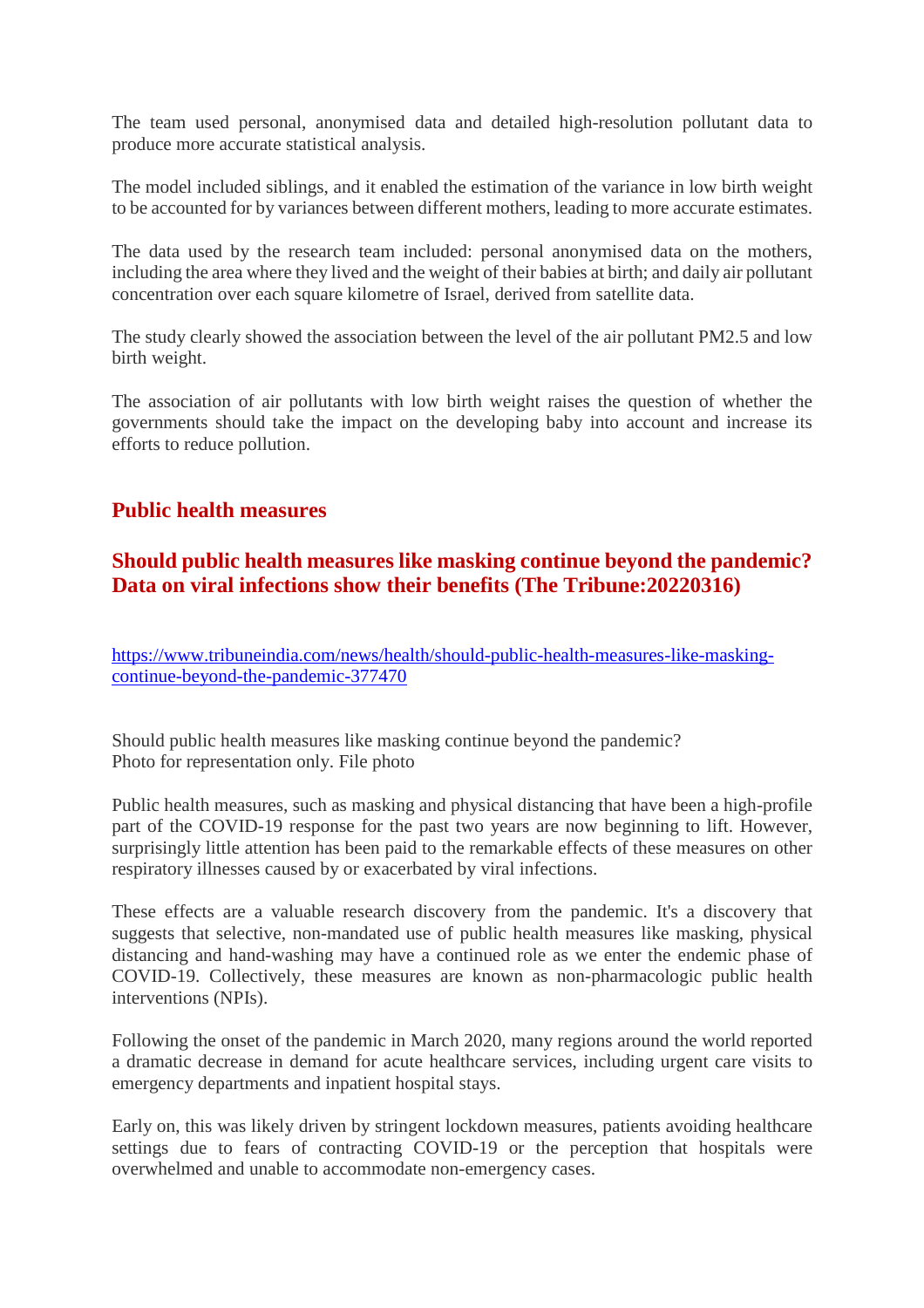The team used personal, anonymised data and detailed high-resolution pollutant data to produce more accurate statistical analysis.

The model included siblings, and it enabled the estimation of the variance in low birth weight to be accounted for by variances between different mothers, leading to more accurate estimates.

The data used by the research team included: personal anonymised data on the mothers, including the area where they lived and the weight of their babies at birth; and daily air pollutant concentration over each square kilometre of Israel, derived from satellite data.

The study clearly showed the association between the level of the air pollutant PM2.5 and low birth weight.

The association of air pollutants with low birth weight raises the question of whether the governments should take the impact on the developing baby into account and increase its efforts to reduce pollution.

## **Public health measures**

## **Should public health measures like masking continue beyond the pandemic? Data on viral infections show their benefits (The Tribune:20220316)**

https://www.tribuneindia.com/news/health/should-public-health-measures-like-maskingcontinue-beyond-the-pandemic-377470

Should public health measures like masking continue beyond the pandemic? Photo for representation only. File photo

Public health measures, such as masking and physical distancing that have been a high-profile part of the COVID-19 response for the past two years are now beginning to lift. However, surprisingly little attention has been paid to the remarkable effects of these measures on other respiratory illnesses caused by or exacerbated by viral infections.

These effects are a valuable research discovery from the pandemic. It's a discovery that suggests that selective, non-mandated use of public health measures like masking, physical distancing and hand-washing may have a continued role as we enter the endemic phase of COVID-19. Collectively, these measures are known as non-pharmacologic public health interventions (NPIs).

Following the onset of the pandemic in March 2020, many regions around the world reported a dramatic decrease in demand for acute healthcare services, including urgent care visits to emergency departments and inpatient hospital stays.

Early on, this was likely driven by stringent lockdown measures, patients avoiding healthcare settings due to fears of contracting COVID-19 or the perception that hospitals were overwhelmed and unable to accommodate non-emergency cases.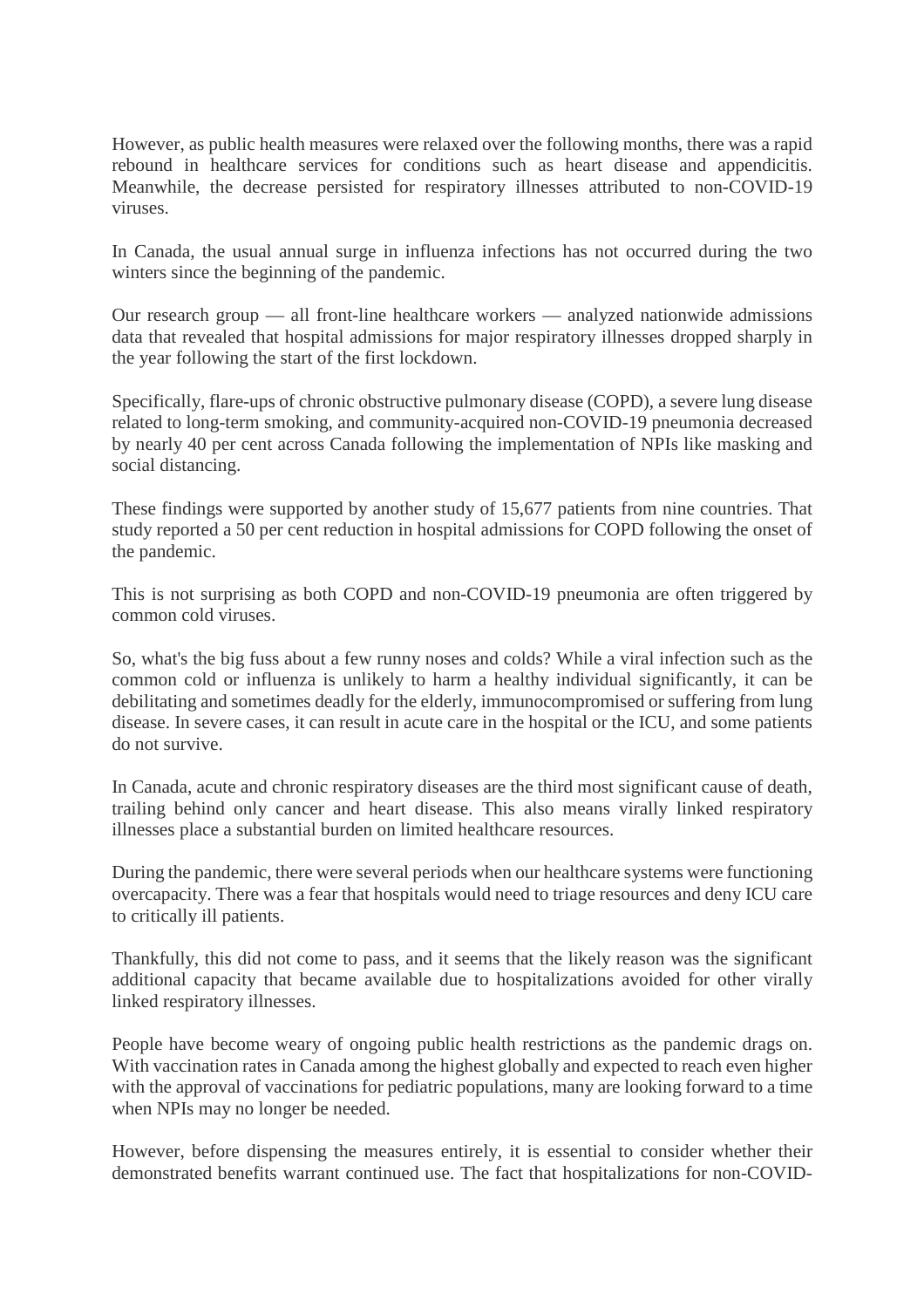However, as public health measures were relaxed over the following months, there was a rapid rebound in healthcare services for conditions such as heart disease and appendicitis. Meanwhile, the decrease persisted for respiratory illnesses attributed to non-COVID-19 viruses.

In Canada, the usual annual surge in influenza infections has not occurred during the two winters since the beginning of the pandemic.

Our research group — all front-line healthcare workers — analyzed nationwide admissions data that revealed that hospital admissions for major respiratory illnesses dropped sharply in the year following the start of the first lockdown.

Specifically, flare-ups of chronic obstructive pulmonary disease (COPD), a severe lung disease related to long-term smoking, and community-acquired non-COVID-19 pneumonia decreased by nearly 40 per cent across Canada following the implementation of NPIs like masking and social distancing.

These findings were supported by another study of 15,677 patients from nine countries. That study reported a 50 per cent reduction in hospital admissions for COPD following the onset of the pandemic.

This is not surprising as both COPD and non-COVID-19 pneumonia are often triggered by common cold viruses.

So, what's the big fuss about a few runny noses and colds? While a viral infection such as the common cold or influenza is unlikely to harm a healthy individual significantly, it can be debilitating and sometimes deadly for the elderly, immunocompromised or suffering from lung disease. In severe cases, it can result in acute care in the hospital or the ICU, and some patients do not survive.

In Canada, acute and chronic respiratory diseases are the third most significant cause of death, trailing behind only cancer and heart disease. This also means virally linked respiratory illnesses place a substantial burden on limited healthcare resources.

During the pandemic, there were several periods when our healthcare systems were functioning overcapacity. There was a fear that hospitals would need to triage resources and deny ICU care to critically ill patients.

Thankfully, this did not come to pass, and it seems that the likely reason was the significant additional capacity that became available due to hospitalizations avoided for other virally linked respiratory illnesses.

People have become weary of ongoing public health restrictions as the pandemic drags on. With vaccination rates in Canada among the highest globally and expected to reach even higher with the approval of vaccinations for pediatric populations, many are looking forward to a time when NPIs may no longer be needed.

However, before dispensing the measures entirely, it is essential to consider whether their demonstrated benefits warrant continued use. The fact that hospitalizations for non-COVID-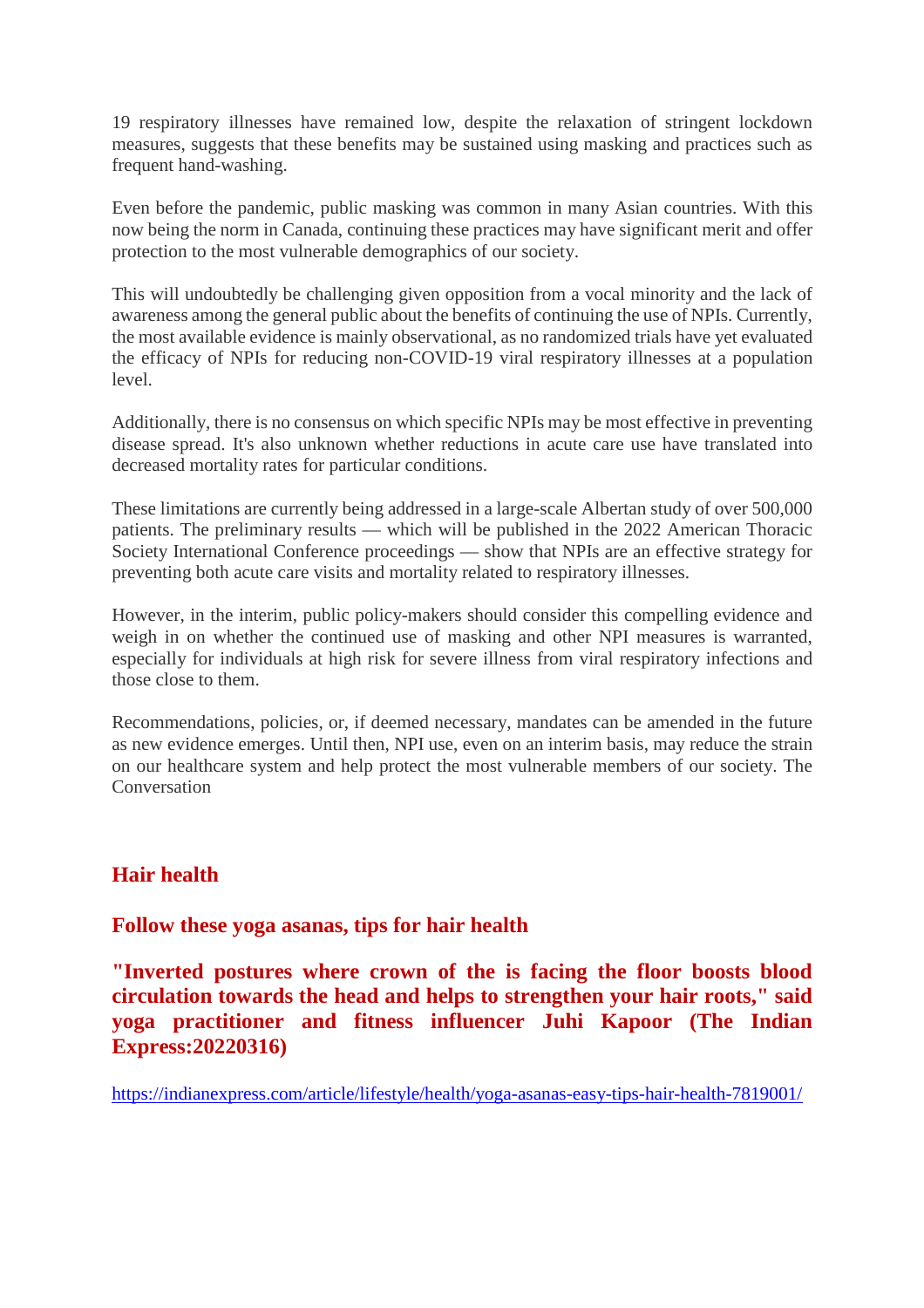19 respiratory illnesses have remained low, despite the relaxation of stringent lockdown measures, suggests that these benefits may be sustained using masking and practices such as frequent hand-washing.

Even before the pandemic, public masking was common in many Asian countries. With this now being the norm in Canada, continuing these practices may have significant merit and offer protection to the most vulnerable demographics of our society.

This will undoubtedly be challenging given opposition from a vocal minority and the lack of awareness among the general public about the benefits of continuing the use of NPIs. Currently, the most available evidence is mainly observational, as no randomized trials have yet evaluated the efficacy of NPIs for reducing non-COVID-19 viral respiratory illnesses at a population level.

Additionally, there is no consensus on which specific NPIs may be most effective in preventing disease spread. It's also unknown whether reductions in acute care use have translated into decreased mortality rates for particular conditions.

These limitations are currently being addressed in a large-scale Albertan study of over 500,000 patients. The preliminary results — which will be published in the 2022 American Thoracic Society International Conference proceedings — show that NPIs are an effective strategy for preventing both acute care visits and mortality related to respiratory illnesses.

However, in the interim, public policy-makers should consider this compelling evidence and weigh in on whether the continued use of masking and other NPI measures is warranted, especially for individuals at high risk for severe illness from viral respiratory infections and those close to them.

Recommendations, policies, or, if deemed necessary, mandates can be amended in the future as new evidence emerges. Until then, NPI use, even on an interim basis, may reduce the strain on our healthcare system and help protect the most vulnerable members of our society. The **Conversation** 

## **Hair health**

#### **Follow these yoga asanas, tips for hair health**

**"Inverted postures where crown of the is facing the floor boosts blood circulation towards the head and helps to strengthen your hair roots," said yoga practitioner and fitness influencer Juhi Kapoor (The Indian Express:20220316)**

https://indianexpress.com/article/lifestyle/health/yoga-asanas-easy-tips-hair-health-7819001/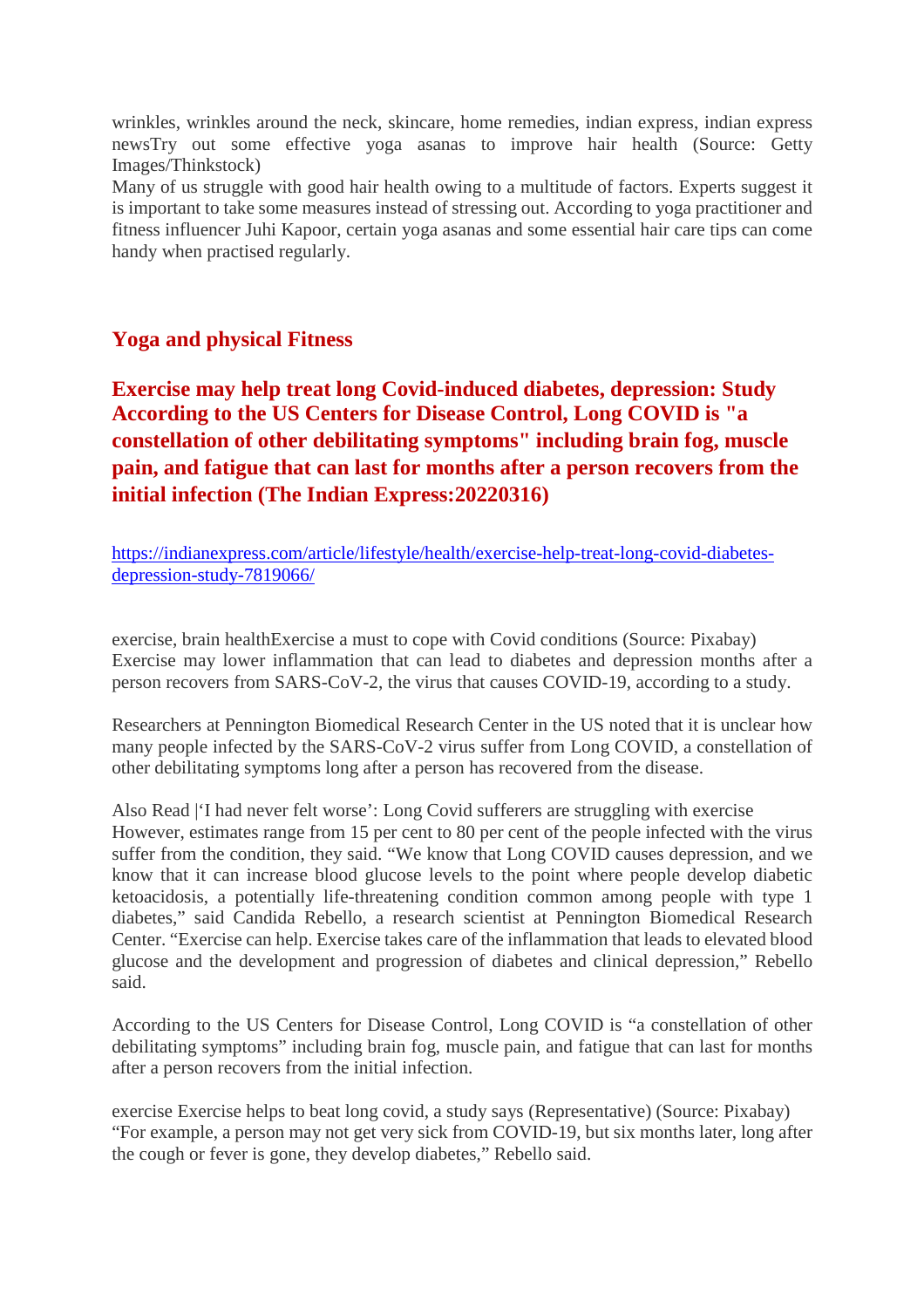wrinkles, wrinkles around the neck, skincare, home remedies, indian express, indian express newsTry out some effective yoga asanas to improve hair health (Source: Getty Images/Thinkstock)

Many of us struggle with good hair health owing to a multitude of factors. Experts suggest it is important to take some measures instead of stressing out. According to yoga practitioner and fitness influencer Juhi Kapoor, certain yoga asanas and some essential hair care tips can come handy when practised regularly.

#### **Yoga and physical Fitness**

**Exercise may help treat long Covid-induced diabetes, depression: Study According to the US Centers for Disease Control, Long COVID is "a constellation of other debilitating symptoms" including brain fog, muscle pain, and fatigue that can last for months after a person recovers from the initial infection (The Indian Express:20220316)**

https://indianexpress.com/article/lifestyle/health/exercise-help-treat-long-covid-diabetesdepression-study-7819066/

exercise, brain healthExercise a must to cope with Covid conditions (Source: Pixabay) Exercise may lower inflammation that can lead to diabetes and depression months after a person recovers from SARS-CoV-2, the virus that causes COVID-19, according to a study.

Researchers at Pennington Biomedical Research Center in the US noted that it is unclear how many people infected by the SARS-CoV-2 virus suffer from Long COVID, a constellation of other debilitating symptoms long after a person has recovered from the disease.

Also Read |'I had never felt worse': Long Covid sufferers are struggling with exercise However, estimates range from 15 per cent to 80 per cent of the people infected with the virus suffer from the condition, they said. "We know that Long COVID causes depression, and we know that it can increase blood glucose levels to the point where people develop diabetic ketoacidosis, a potentially life-threatening condition common among people with type 1 diabetes," said Candida Rebello, a research scientist at Pennington Biomedical Research Center. "Exercise can help. Exercise takes care of the inflammation that leads to elevated blood glucose and the development and progression of diabetes and clinical depression," Rebello said.

According to the US Centers for Disease Control, Long COVID is "a constellation of other debilitating symptoms" including brain fog, muscle pain, and fatigue that can last for months after a person recovers from the initial infection.

exercise Exercise helps to beat long covid, a study says (Representative) (Source: Pixabay) "For example, a person may not get very sick from COVID-19, but six months later, long after the cough or fever is gone, they develop diabetes," Rebello said.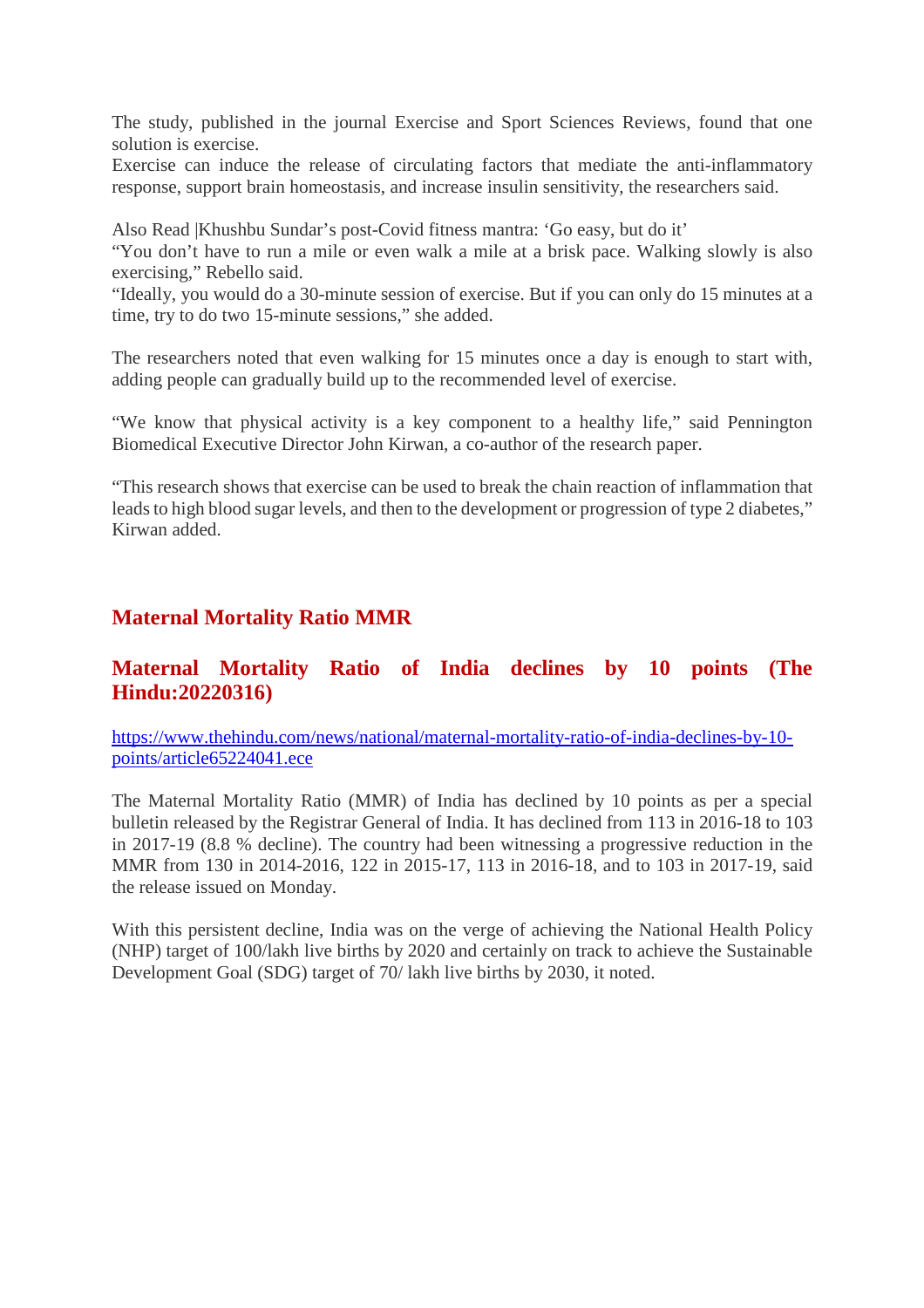The study, published in the journal Exercise and Sport Sciences Reviews, found that one solution is exercise.

Exercise can induce the release of circulating factors that mediate the anti-inflammatory response, support brain homeostasis, and increase insulin sensitivity, the researchers said.

Also Read |Khushbu Sundar's post-Covid fitness mantra: 'Go easy, but do it'

"You don't have to run a mile or even walk a mile at a brisk pace. Walking slowly is also exercising," Rebello said.

"Ideally, you would do a 30-minute session of exercise. But if you can only do 15 minutes at a time, try to do two 15-minute sessions," she added.

The researchers noted that even walking for 15 minutes once a day is enough to start with, adding people can gradually build up to the recommended level of exercise.

"We know that physical activity is a key component to a healthy life," said Pennington Biomedical Executive Director John Kirwan, a co-author of the research paper.

"This research shows that exercise can be used to break the chain reaction of inflammation that leads to high blood sugar levels, and then to the development or progression of type 2 diabetes," Kirwan added.

#### **Maternal Mortality Ratio MMR**

#### **Maternal Mortality Ratio of India declines by 10 points (The Hindu:20220316)**

https://www.thehindu.com/news/national/maternal-mortality-ratio-of-india-declines-by-10 points/article65224041.ece

The Maternal Mortality Ratio (MMR) of India has declined by 10 points as per a special bulletin released by the Registrar General of India. It has declined from 113 in 2016-18 to 103 in 2017-19 (8.8 % decline). The country had been witnessing a progressive reduction in the MMR from 130 in 2014-2016, 122 in 2015-17, 113 in 2016-18, and to 103 in 2017-19, said the release issued on Monday.

With this persistent decline, India was on the verge of achieving the National Health Policy (NHP) target of 100/lakh live births by 2020 and certainly on track to achieve the Sustainable Development Goal (SDG) target of 70/ lakh live births by 2030, it noted.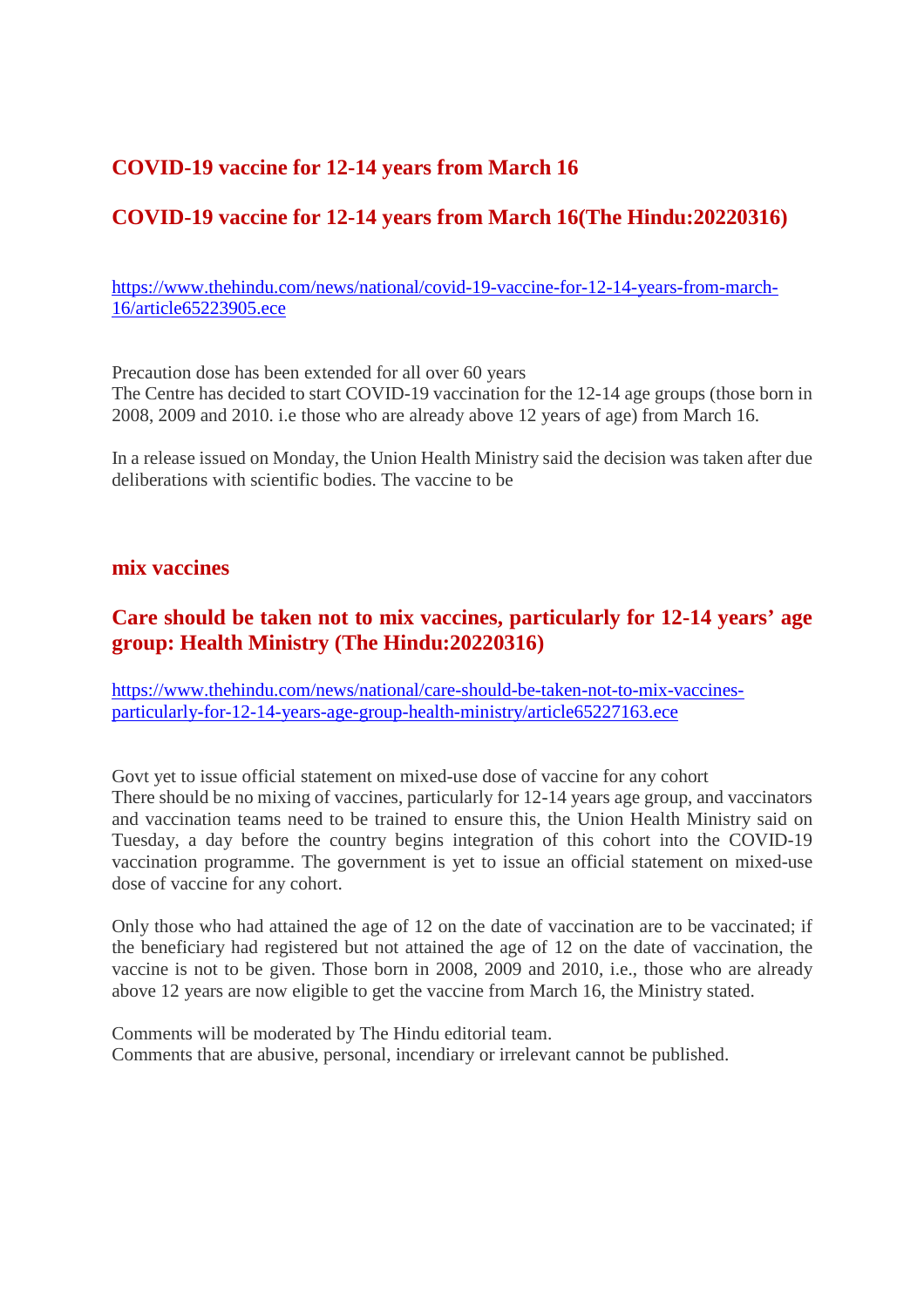## **COVID-19 vaccine for 12-14 years from March 16**

# **COVID-19 vaccine for 12-14 years from March 16(The Hindu:20220316)**

https://www.thehindu.com/news/national/covid-19-vaccine-for-12-14-years-from-march-16/article65223905.ece

Precaution dose has been extended for all over 60 years The Centre has decided to start COVID-19 vaccination for the 12-14 age groups (those born in 2008, 2009 and 2010. i.e those who are already above 12 years of age) from March 16.

In a release issued on Monday, the Union Health Ministry said the decision was taken after due deliberations with scientific bodies. The vaccine to be

#### **mix vaccines**

#### **Care should be taken not to mix vaccines, particularly for 12-14 years' age group: Health Ministry (The Hindu:20220316)**

https://www.thehindu.com/news/national/care-should-be-taken-not-to-mix-vaccinesparticularly-for-12-14-years-age-group-health-ministry/article65227163.ece

Govt yet to issue official statement on mixed-use dose of vaccine for any cohort There should be no mixing of vaccines, particularly for 12-14 years age group, and vaccinators and vaccination teams need to be trained to ensure this, the Union Health Ministry said on Tuesday, a day before the country begins integration of this cohort into the COVID-19 vaccination programme. The government is yet to issue an official statement on mixed-use dose of vaccine for any cohort.

Only those who had attained the age of 12 on the date of vaccination are to be vaccinated; if the beneficiary had registered but not attained the age of 12 on the date of vaccination, the vaccine is not to be given. Those born in 2008, 2009 and 2010, i.e., those who are already above 12 years are now eligible to get the vaccine from March 16, the Ministry stated.

Comments will be moderated by The Hindu editorial team. Comments that are abusive, personal, incendiary or irrelevant cannot be published.